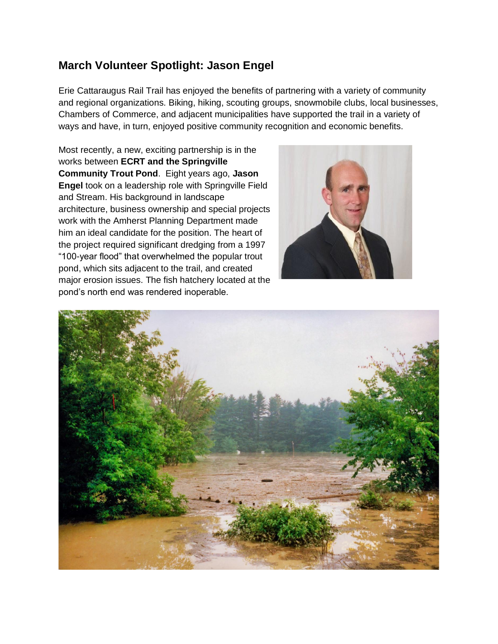## **March Volunteer Spotlight: Jason Engel**

Erie Cattaraugus Rail Trail has enjoyed the benefits of partnering with a variety of community and regional organizations. Biking, hiking, scouting groups, snowmobile clubs, local businesses, Chambers of Commerce, and adjacent municipalities have supported the trail in a variety of ways and have, in turn, enjoyed positive community recognition and economic benefits.

Most recently, a new, exciting partnership is in the works between **ECRT and the Springville Community Trout Pond**. Eight years ago, **Jason Engel** took on a leadership role with Springville Field and Stream. His background in landscape architecture, business ownership and special projects work with the Amherst Planning Department made him an ideal candidate for the position. The heart of the project required significant dredging from a 1997 "100-year flood" that overwhelmed the popular trout pond, which sits adjacent to the trail, and created major erosion issues. The fish hatchery located at the pond's north end was rendered inoperable.